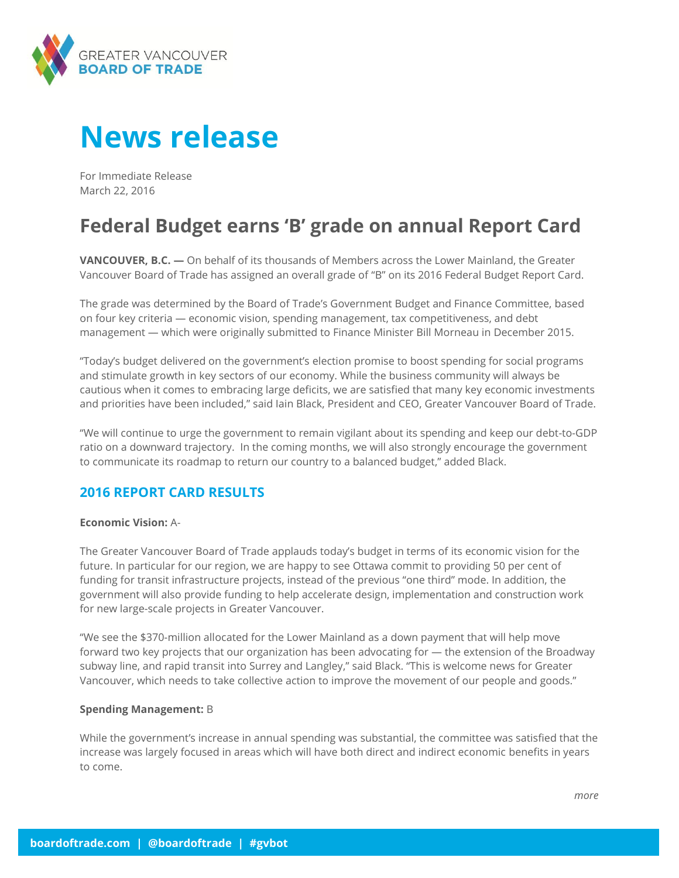

# **News release**

For Immediate Release March 22, 2016

## **Federal Budget earns 'B' grade on annual Report Card**

**VANCOUVER, B.C. —** On behalf of its thousands of Members across the Lower Mainland, the Greater Vancouver Board of Trade has assigned an overall grade of "B" on its 2016 Federal Budget Report Card.

The grade was determined by the Board of Trade's Government Budget and Finance Committee, based on four key criteria — economic vision, spending management, tax competitiveness, and debt management — which were originally submitted to Finance Minister Bill Morneau in December 2015.

"Today's budget delivered on the government's election promise to boost spending for social programs and stimulate growth in key sectors of our economy. While the business community will always be cautious when it comes to embracing large deficits, we are satisfied that many key economic investments and priorities have been included," said Iain Black, President and CEO, Greater Vancouver Board of Trade.

"We will continue to urge the government to remain vigilant about its spending and keep our debt-to-GDP ratio on a downward trajectory. In the coming months, we will also strongly encourage the government to communicate its roadmap to return our country to a balanced budget," added Black.

### **2016 REPORT CARD RESULTS**

#### **Economic Vision:** A-

The Greater Vancouver Board of Trade applauds today's budget in terms of its economic vision for the future. In particular for our region, we are happy to see Ottawa commit to providing 50 per cent of funding for transit infrastructure projects, instead of the previous "one third" mode. In addition, the government will also provide funding to help accelerate design, implementation and construction work for new large-scale projects in Greater Vancouver.

"We see the \$370-million allocated for the Lower Mainland as a down payment that will help move forward two key projects that our organization has been advocating for — the extension of the Broadway subway line, and rapid transit into Surrey and Langley," said Black. "This is welcome news for Greater Vancouver, which needs to take collective action to improve the movement of our people and goods."

#### **Spending Management:** B

While the government's increase in annual spending was substantial, the committee was satisfied that the increase was largely focused in areas which will have both direct and indirect economic benefits in years to come.